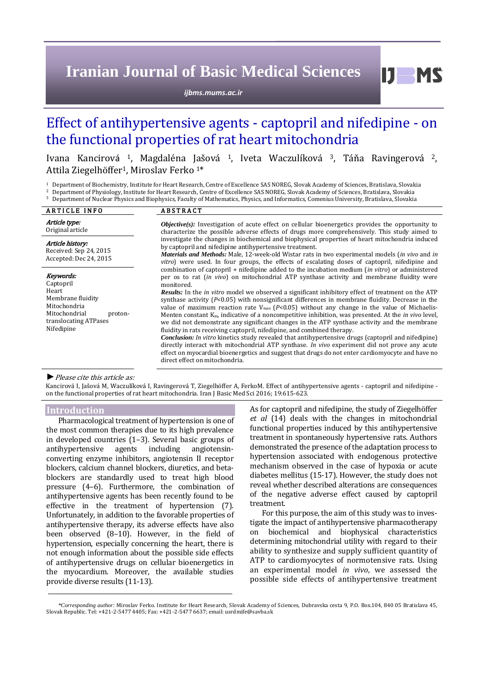# **Iranian Journal of Basic Medical Sciences**

*ijbms.mums.ac.ir*

## Effect of antihypertensive agents - captopril and nifedipine - on the functional properties of rat heart mitochondria

Ivana Kancirová <sup>1</sup>, Magdaléna Jašová 1, Iveta Waczulíková 3, Táňa Ravingerová 2, Attila Ziegelhöffer1, Miroslav Ferko 1\*

<sup>1</sup> Department of Biochemistry, Institute for Heart Research, Centre of Excellence SAS NOREG, Slovak Academy of Sciences, Bratislava, Slovakia<br><sup>2</sup> Department of Physiology, Institute for Heart Research, Centre of Excellenc

<sup>2</sup> Department of Physiology, Institute for Heart Research, Centre of Excellence SAS NOREG, Slovak Academy of Sciences, Bratislava, Slovakia <sup>3</sup> Department of Nuclear Physics and Biophysics, Faculty of Mathematics, Physics, and Informatics, Comenius University, Bratislava, Slovakia

| <b>ARTICLE INFO</b>                                                                                                                     | <b>ABSTRACT</b>                                                                                                                                                                                                                                                                                                                                                                                                                                                                                                                                                                                                                                                                                                                                                                                                                                                                                                                                                                                                                                                                                                                                                                                                    |
|-----------------------------------------------------------------------------------------------------------------------------------------|--------------------------------------------------------------------------------------------------------------------------------------------------------------------------------------------------------------------------------------------------------------------------------------------------------------------------------------------------------------------------------------------------------------------------------------------------------------------------------------------------------------------------------------------------------------------------------------------------------------------------------------------------------------------------------------------------------------------------------------------------------------------------------------------------------------------------------------------------------------------------------------------------------------------------------------------------------------------------------------------------------------------------------------------------------------------------------------------------------------------------------------------------------------------------------------------------------------------|
| Article type:<br>Original article                                                                                                       | <i>Objective(s)</i> : Investigation of acute effect on cellular bioenergetics provides the opportunity to<br>characterize the possible adverse effects of drugs more comprehensively. This study aimed to                                                                                                                                                                                                                                                                                                                                                                                                                                                                                                                                                                                                                                                                                                                                                                                                                                                                                                                                                                                                          |
| Article history:<br>Received: Sep 24, 2015<br>Accepted: Dec 24, 2015                                                                    | investigate the changes in biochemical and biophysical properties of heart mitochondria induced<br>by captopril and nifedipine antihypertensive treatment.<br><i>Materials and Methods:</i> Male, 12-week-old Wistar rats in two experimental models (in vivo and in<br><i>vitro</i> ) were used. In four groups, the effects of escalating doses of captopril, nifedipine and                                                                                                                                                                                                                                                                                                                                                                                                                                                                                                                                                                                                                                                                                                                                                                                                                                     |
| Keywords:<br>Captopril<br>Heart<br>Membrane fluidity<br>Mitochondria<br>Mitochondrial<br>proton-<br>translocating ATPases<br>Nifedipine | combination of captopril + nifedipine added to the incubation medium ( <i>in vitro</i> ) or administered<br>per os to rat <i>(in vivo)</i> on mitochondrial ATP synthase activity and membrane fluidity were<br>monitored.<br><b>Results:</b> In the <i>in vitro</i> model we observed a significant inhibitory effect of treatment on the ATP<br>synthase activity ( $P<0.05$ ) with nonsignificant differences in membrane fluidity. Decrease in the<br>value of maximum reaction rate $V_{\text{max}}$ (P<0.05) without any change in the value of Michaelis-<br>Menten constant $K_m$ , indicative of a noncompetitive inhibition, was presented. At the <i>in vivo</i> level,<br>we did not demonstrate any significant changes in the ATP synthase activity and the membrane<br>fluidity in rats receiving captopril, nifedipine, and combined therapy.<br><i>Conclusion: In vitro kinetics study revealed that antihypertensive drugs (captopril and nifedipine)</i><br>directly interact with mitochondrial ATP synthase. In vivo experiment did not prove any acute<br>effect on myocardial bioenergetics and suggest that drugs do not enter cardiomyocyte and have no<br>direct effect on mitochondria. |

#### *►*Please cite this article as:

Kancirová I, Jašová M, Waczulíková I, Ravingerová T, Ziegelhöffer A, FerkoM. Effect of antihypertensive agents - captopril and nifedipine on the functional properties of rat heart mitochondria. Iran J Basic Med Sci 2016; 19:615-623.

## **Introduction**

Pharmacological treatment of hypertension is one of the most common therapies due to its high prevalence in developed countries (1–3). Several basic groups of antihypertensive agents including angiotensinconverting enzyme inhibitors, angiotensin II receptor blockers, calcium channel blockers, diuretics, and betablockers are standardly used to treat high blood pressure (4–6). Furthermore, the combination of antihypertensive agents has been recently found to be effective in the treatment of hypertension (7). Unfortunately, in addition to the favorable properties of antihypertensive therapy, its adverse effects have also been observed (8–10). However, in the field of hypertension, especially concerning the heart, there is not enough information about the possible side effects of antihypertensive drugs on cellular bioenergetics in the myocardium. Moreover, the available studies provide diverse results (11-13).

As for captopril and nifedipine, the study of Ziegelhöffer *et al* (14) deals with the changes in mitochondrial functional properties induced by this antihypertensive treatment in spontaneously hypertensive rats. Authors demonstrated the presence of the adaptation process to hypertension associated with endogenous protective mechanism observed in the case of hypoxia or acute diabetes mellitus (15-17). However, the study does not reveal whether described alterations are consequences of the negative adverse effect caused by captopril treatment.

Ш

**MS** 

For this purpose, the aim of this study was to investigate the impact of antihypertensive pharmacotherapy on biochemical and biophysical characteristics determining mitochondrial utility with regard to their ability to synthesize and supply sufficient quantity of ATP to cardiomyocytes of normotensive rats. Using an experimental model *in vivo*, we assessed the possible side effects of antihypertensive treatment

*<sup>\*</sup>Corresponding author:* Miroslav Ferko. Institute for Heart Research, Slovak Academy of Sciences, Dubravska cesta 9, P.O. Box.104, 840 05 Bratislava 45, Slovak Republic. Tel: +421-2-5477 4405; Fax: +421-2-5477 6637; email: usrdmife@savba.sk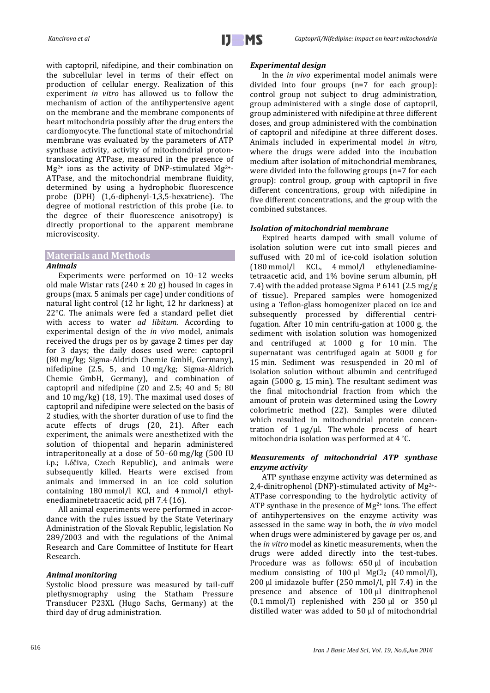with captopril, nifedipine, and their combination on the subcellular level in terms of their effect on production of cellular energy. Realization of this experiment *in vitro* has allowed us to follow the mechanism of action of the antihypertensive agent on the membrane and the membrane components of heart mitochondria possibly after the drug enters the cardiomyocyte. The functional state of mitochondrial membrane was evaluated by the parameters of ATP synthase activity, activity of mitochondrial protontranslocating ATPase, measured in the presence of  $Mg^{2+}$  ions as the activity of DNP-stimulated  $Mg^{2+}$ -ATPase, and the mitochondrial membrane fluidity, determined by using a hydrophobic fluorescence probe (DPH) (1,6-diphenyl-1,3,5-hexatriene). The degree of motional restriction of this probe (i.e. to the degree of their fluorescence anisotropy) is directly proportional to the apparent membrane microviscosity.

## **Materials and Methods**

## *Animals*

Experiments were performed on 10–12 weeks old male Wistar rats  $(240 \pm 20$  g) housed in cages in groups (max. 5 animals per cage) under conditions of natural light control (12 hr light, 12 hr darkness) at 22°C. The animals were fed a standard pellet diet with access to water *ad libitum*. According to experimental design of the *in vivo* model, animals received the drugs per os by gavage 2 times per day for 3 days; the daily doses used were: captopril (80 mg/kg; Sigma-Aldrich Chemie GmbH, Germany), nifedipine (2.5, 5, and 10 mg/kg; Sigma-Aldrich Chemie GmbH, Germany), and combination of captopril and nifedipine (20 and 2.5; 40 and 5; 80 and 10 mg/kg) (18, 19). The maximal used doses of captopril and nifedipine were selected on the basis of 2 studies, with the shorter duration of use to find the acute effects of drugs (20, 21). After each experiment, the animals were anesthetized with the solution of thiopental and heparin administered intraperitoneally at a dose of 50–60 mg/kg (500 IU i.p.; Léčiva, Czech Republic), and animals were subsequently killed. Hearts were excised from animals and immersed in an ice cold solution containing 180 mmol/l KCl, and 4 mmol/l ethylenediaminetetraacetic acid, pH 7.4 (16).

All animal experiments were performed in accordance with the rules issued by the State Veterinary Administration of the Slovak Republic, legislation No 289/2003 and with the regulations of the Animal Research and Care Committee of Institute for Heart Research.

## *Animal monitoring*

Systolic blood pressure was measured by tail-cuff plethysmography using the Statham Pressure Transducer P23XL (Hugo Sachs, Germany) at the third day of drug administration.

#### *Experimental design*

In the *in vivo* experimental model animals were divided into four groups (n=7 for each group): control group not subject to drug administration, group administered with a single dose of captopril, group administered with nifedipine at three different doses, and group administered with the combination of captopril and nifedipine at three different doses. Animals included in experimental model *in vitro,* where the drugs were added into the incubation medium after isolation of mitochondrial membranes, were divided into the following groups (n=7 for each group): control group, group with captopril in five different concentrations, group with nifedipine in five different concentrations, and the group with the combined substances.

#### *Isolation of mitochondrial membrane*

Expired hearts damped with small volume of isolation solution were cut into small pieces and suffused with 20 ml of ice-cold isolation solution (180 mmol/l KCL, 4 mmol/l ethylenediaminetetraacetic acid, and 1% bovine serum albumin, pH 7.4) with the added protease Sigma P 6141 (2.5 mg/g of tissue). Prepared samples were homogenized using a Teflon-glass homogenizer placed on ice and subsequently processed by differential centrifugation. After 10 min centrifu-gation at 1000 g, the sediment with isolation solution was homogenized and centrifuged at 1000 g for 10 min. The supernatant was centrifuged again at 5000 g for 15 min. Sediment was resuspended in 20 ml of isolation solution without albumin and centrifuged again (5000 g, 15 min). The resultant sediment was the final mitochondrial fraction from which the amount of protein was determined using the Lowry colorimetric method (22). Samples were diluted which resulted in mitochondrial protein concentration of  $1 \mu g / \mu l$ . The whole process of heart mitochondria isolation was performed at 4 °C.

## *Measurements of mitochondrial ATP synthase enzyme activity*

ATP synthase enzyme activity was determined as 2,4-dinitrophenol (DNP)-stimulated activity of Mg2+- ATPase corresponding to the hydrolytic activity of ATP synthase in the presence of  $Mg^{2+}$  ions. The effect of antihypertensives on the enzyme activity was assessed in the same way in both, the *in vivo* model when drugs were administered by gavage per os, and the *in vitro* model as kinetic measurements, when the drugs were added directly into the test-tubes. Procedure was as follows: 650 μl of incubation medium consisting of  $100 \mu l$  MgCl<sub>2</sub> (40 mmol/l), 200 μl imidazole buffer (250 mmol/l, pH 7.4) in the presence and absence of 100 μl dinitrophenol (0.1 mmol/l) replenished with 250 μl or 350 μl distilled water was added to 50 μl of mitochondrial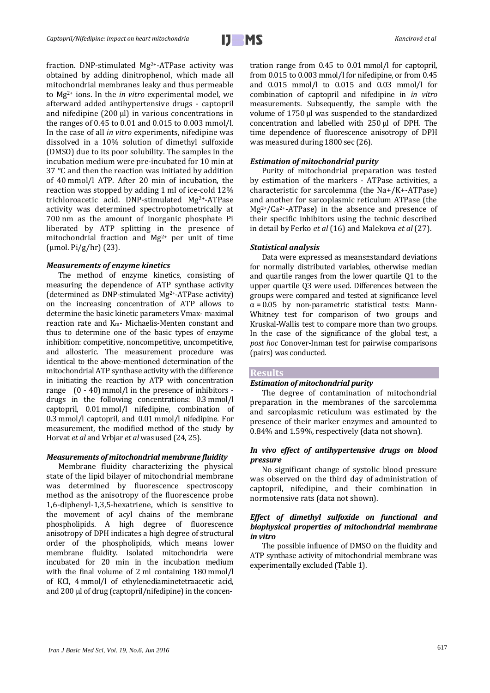fraction. DNP-stimulated Mg2+-ATPase activity was obtained by adding dinitrophenol, which made all mitochondrial membranes leaky and thus permeable to Mg2+ ions. In the *in vitro* experimental model, we afterward added antihypertensive drugs - captopril and nifedipine (200 μl) in various concentrations in the ranges of 0.45 to 0.01 and 0.015 to 0.003 mmol/l. In the case of all *in vitro* experiments, nifedipine was dissolved in a 10% solution of dimethyl sulfoxide (DMSO) due to its poor solubility. The samples in the incubation medium were pre-incubated for 10 min at 37 °C and then the reaction was initiated by addition of 40 mmol/l ATP. After 20 min of incubation, the reaction was stopped by adding 1 ml of ice-cold 12% trichloroacetic acid. DNP-stimulated Mg2+-ATPase activity was determined spectrophotometrically at 700 nm as the amount of inorganic phosphate Pi liberated by ATP splitting in the presence of mitochondrial fraction and  $Mg^{2+}$  per unit of time (μmol. Pi/g/hr) (23).

#### *Measurements of enzyme kinetics*

The method of enzyme kinetics, consisting of measuring the dependence of ATP synthase activity (determined as DNP-stimulated Mg2+-ATPase activity) on the increasing concentration of ATP allows to determine the basic kinetic parameters Vmax- maximal reaction rate and Km- Michaelis-Menten constant and thus to determine one of the basic types of enzyme inhibition: competitive, noncompetitive, uncompetitive, and allosteric. The measurement procedure was identical to the above-mentioned determination of the mitochondrial ATP synthase activity with the difference in initiating the reaction by ATP with concentration range  $(0 - 40)$  mmol/l in the presence of inhibitors drugs in the following concentrations: 0.3 mmol/l captopril, 0.01 mmol/l nifedipine, combination of 0.3 mmol/l captopril, and 0.01 mmol/l nifedipine. For measurement, the modified method of the study by Horvat *et al* and Vrbjar *et al* was used (24, 25).

#### *Measurements of mitochondrial membrane fluidity*

Membrane fluidity characterizing the physical state of the lipid bilayer of mitochondrial membrane was determined by fluorescence spectroscopy method as the anisotropy of the fluorescence probe 1,6-diphenyl-1,3,5-hexatriene, which is sensitive to the movement of acyl chains of the membrane phospholipids. A high degree of fluorescence anisotropy of DPH indicates a high degree of structural order of the phospholipids, which means lower membrane fluidity. Isolated mitochondria were incubated for 20 min in the incubation medium with the final volume of 2 ml containing 180 mmol/l of KCl, 4 mmol/l of ethylenediaminetetraacetic acid, and 200 μl of drug (captopril/nifedipine) in the concentration range from 0.45 to 0.01 mmol/l for captopril, from 0.015 to 0.003 mmol/l for nifedipine, or from 0.45 and 0.015 mmol/l to 0.015 and 0.03 mmol/l for combination of captopril and nifedipine in *in vitro* measurements. Subsequently, the sample with the volume of 1750 μl was suspended to the standardized concentration and labelled with 250 μl of DPH. The time dependence of fluorescence anisotropy of DPH was measured during 1800 sec (26).

#### *Estimation of mitochondrial purity*

Purity of mitochondrial preparation was tested by estimation of the markers - ATPase activities, a characteristic for sarcolemma (the Na+/K+-ATPase) and another for sarcoplasmic reticulum ATPase (the  $Mg^{2+}/Ca^{2+}-ATPase$ ) in the absence and presence of their specific inhibitors using the technic described in detail by Ferko *et al* (16) and Malekova *et al* (27).

## *Statistical analysis*

Data were expressed as means±standard deviations for normally distributed variables, otherwise median and quartile ranges from the lower quartile Q1 to the upper quartile Q3 were used. Differences between the groups were compared and tested at significance level  $\alpha$  = 0.05 by non-parametric statistical tests: Mann-Whitney test for comparison of two groups and Kruskal-Wallis test to compare more than two groups. In the case of the significance of the global test, a *post hoc* Conover-Inman test for pairwise comparisons (pairs) was conducted.

## **Results**

## *Estimation of mitochondrial purity*

The degree of contamination of mitochondrial preparation in the membranes of the sarcolemma and sarcoplasmic reticulum was estimated by the presence of their marker enzymes and amounted to 0.84% and 1.59%, respectively (data not shown).

## *In vivo effect of antihypertensive drugs on blood pressure*

No significant change of systolic blood pressure was observed on the third day of administration of captopril, nifedipine, and their combination in normotensive rats (data not shown).

## *Effect of dimethyl sulfoxide on functional and biophysical properties of mitochondrial membrane in vitro*

The possible influence of DMSO on the fluidity and ATP synthase activity of mitochondrial membrane was experimentally excluded (Table 1).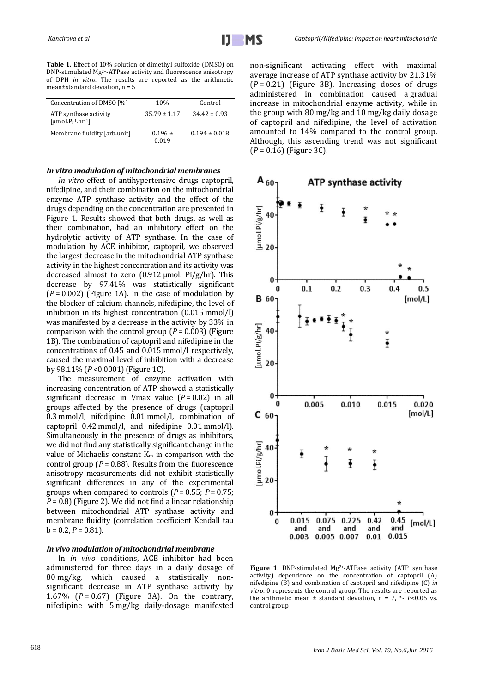**Table 1.** Effect of 10% solution of dimethyl sulfoxide (DMSO) on DNP-stimulated Mg2+-ATPase activity and fluorescence anisotropy of DPH *in vitro*. The results are reported as the arithmetic mean±standard deviation, n = 5

| Concentration of DMSO [%]                                             | 10%                  | Control           |
|-----------------------------------------------------------------------|----------------------|-------------------|
| ATP synthase activity<br>[ $umol.Pi$ <sup>1</sup> .hr <sup>-1</sup> ] | $35.79 \pm 1.17$     | $34.42 \pm 0.93$  |
| Membrane fluidity [arb.unit]                                          | $0.196 \pm$<br>0.019 | $0.194 \pm 0.018$ |

#### *In vitro modulation of mitochondrial membranes*

*In vitro* effect of antihypertensive drugs captopril, nifedipine, and their combination on the mitochondrial enzyme ATP synthase activity and the effect of the drugs depending on the concentration are presented in Figure 1. Results showed that both drugs, as well as their combination, had an inhibitory effect on the hydrolytic activity of ATP synthase. In the case of modulation by ACE inhibitor, captopril, we observed the largest decrease in the mitochondrial ATP synthase activity in the highest concentration and its activity was decreased almost to zero (0.912 μmol. Pi/g/hr). This decrease by 97.41% was statistically significant  $(P = 0.002)$  (Figure 1A). In the case of modulation by the blocker of calcium channels, nifedipine, the level of inhibition in its highest concentration (0.015 mmol/l) was manifested by a decrease in the activity by 33% in comparison with the control group  $(P = 0.003)$  (Figure 1B). The combination of captopril and nifedipine in the concentrations of 0.45 and 0.015 mmol/l respectively, caused the maximal level of inhibition with a decrease by 98.11% (*P* <0.0001) (Figure 1C).

The measurement of enzyme activation with increasing concentration of ATP showed a statistically significant decrease in Vmax value  $(P = 0.02)$  in all groups affected by the presence of drugs (captopril 0.3 mmol/l, nifedipine 0.01 mmol/l, combination of captopril 0.42 mmol/l, and nifedipine 0.01 mmol/l). Simultaneously in the presence of drugs as inhibitors, we did not find any statistically significant change in the value of Michaelis constant  $K_m$  in comparison with the control group ( $P = 0.88$ ). Results from the fluorescence anisotropy measurements did not exhibit statistically significant differences in any of the experimental groups when compared to controls ( $P = 0.55$ ;  $P = 0.75$ ; *P* = 0.8) (Figure 2). We did not find a linear relationship between mitochondrial ATP synthase activity and membrane fluidity (correlation coefficient Kendall tau  $b = 0.2, P = 0.81$ .

#### *In vivo modulation of mitochondrial membrane*

In *in vivo* conditions, ACE inhibitor had been administered for three days in a daily dosage of 80 mg/kg, which caused a statistically nonsignificant decrease in ATP synthase activity by 1.67% (*P* = 0.67) (Figure 3A). On the contrary, nifedipine with 5 mg/kg daily-dosage manifested non-significant activating effect with maximal average increase of ATP synthase activity by 21.31% (*P* = 0.21) (Figure 3B). Increasing doses of drugs administered in combination caused a gradual increase in mitochondrial enzyme activity, while in the group with 80 mg/kg and 10 mg/kg daily dosage of captopril and nifedipine, the level of activation amounted to 14% compared to the control group. Although, this ascending trend was not significant (*P* = 0.16) (Figure 3C).



Figure 1. DNP-stimulated Mg<sup>2+</sup>-ATPase activity (ATP synthase activity) dependence on the concentration of captopril (A) nifedipine (B) and combination of captopril and nifedipine (C) *in vitro*. 0 represents the control group. The results are reported as the arithmetic mean ± standard deviation, n = 7, \*- *P*<0.05 vs. control group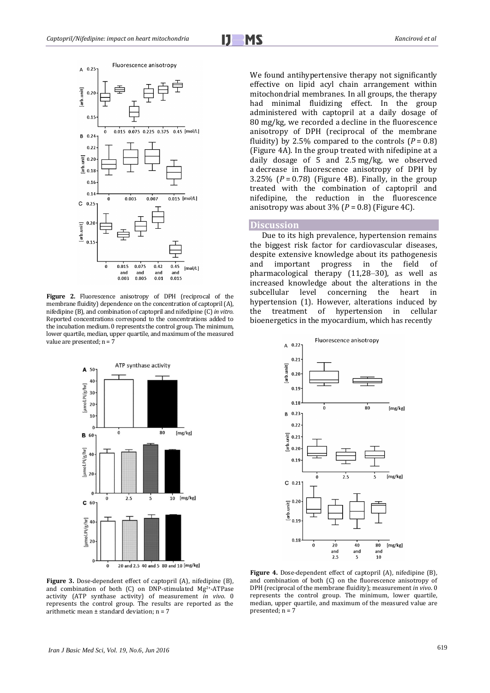



**Figure 2.** Fluorescence anisotropy of DPH (reciprocal of the membrane fluidity) dependence on the concentration of captopril (A), nifedipine (B), and combination of captopril and nifedipine (C) *in vitro*. Reported concentrations correspond to the concentrations added to the incubation medium. 0 represents the control group. The minimum, lower quartile, median, upper quartile, and maximum of the measured value are presented;  $n = 7$ 



**Figure 3.** Dose-dependent effect of captopril (A), nifedipine (B), and combination of both (C) on DNP-stimulated Mg2+-ATPase activity (ATP synthase activity) of measurement *in vivo*. 0 represents the control group. The results are reported as the arithmetic mean ± standard deviation; n = 7

We found antihypertensive therapy not significantly effective on lipid acyl chain arrangement within mitochondrial membranes. In all groups, the therapy had minimal fluidizing effect. In the group administered with captopril at a daily dosage of 80 mg/kg, we recorded a decline in the fluorescence anisotropy of DPH (reciprocal of the membrane fluidity) by 2.5% compared to the controls  $(P = 0.8)$ (Figure 4A). In the group treated with nifedipine at a daily dosage of 5 and 2.5 mg/kg, we observed a decrease in fluorescence anisotropy of DPH by 3.25%  $(P = 0.78)$  (Figure 4B). Finally, in the group treated with the combination of captopril and nifedipine, the reduction in the fluorescence anisotropy was about  $3\%$  ( $P = 0.8$ ) (Figure 4C).

## **Discussion**

Due to its high prevalence, hypertension remains the biggest risk factor for cardiovascular diseases, despite extensive knowledge about its pathogenesis and important progress in the field of pharmacological therapy (11,28*–*30), as well as increased knowledge about the alterations in the concerning the heart in hypertension (1). However, alterations induced by the treatment of hypertension in cellular bioenergetics in the myocardium, which has recently



**Figure 4.** Dose-dependent effect of captopril (A), nifedipine (B), and combination of both (C) on the fluorescence anisotropy of DPH (reciprocal of the membrane fluidity); measurement *in vivo*. 0 represents the control group. The minimum, lower quartile, median, upper quartile, and maximum of the measured value are presented;  $n = 7$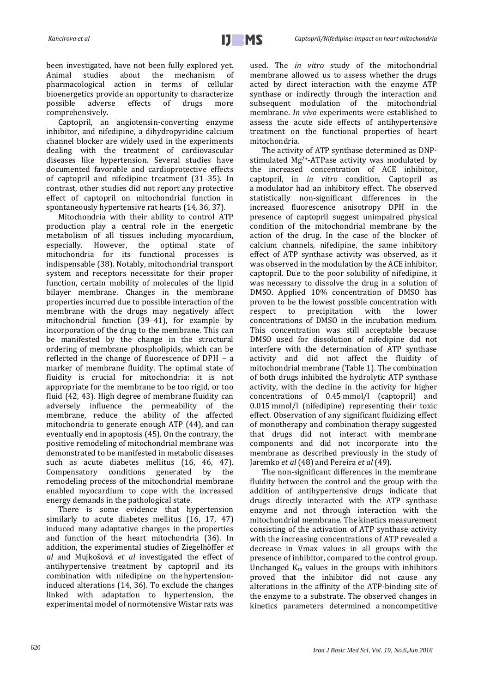been investigated, have not been fully explored yet. Animal studies about the mechanism of pharmacological action in terms of cellular bioenergetics provide an opportunity to characterize<br>possible adverse effects of drugs more possible adverse effects of drugs more comprehensively.

Captopril, an angiotensin-converting enzyme inhibitor, and nifedipine, a dihydropyridine calcium channel blocker are widely used in the experiments dealing with the treatment of cardiovascular diseases like hypertension. Several studies have documented favorable and cardioprotective effects of captopril and nifedipine treatment (31*–*35). In contrast, other studies did not report any protective effect of captopril on mitochondrial function in spontaneously hypertensive rat hearts (14, 36, 37).

Mitochondria with their ability to control ATP production play a central role in the energetic metabolism of all tissues including myocardium, especially. However, the optimal state of mitochondria for its functional processes is indispensable (38). Notably, mitochondrial transport system and receptors necessitate for their proper function, certain mobility of molecules of the lipid bilayer membrane. Changes in the membrane properties incurred due to possible interaction of the membrane with the drugs may negatively affect mitochondrial function (39*–*41), for example by incorporation of the drug to the membrane. This can be manifested by the change in the structural ordering of membrane phospholipids, which can be reflected in the change of fluorescence of DPH – a marker of membrane fluidity. The optimal state of fluidity is crucial for mitochondria: it is not appropriate for the membrane to be too rigid, or too fluid (42, 43). High degree of membrane fluidity can adversely influence the permeability of the membrane, reduce the ability of the affected mitochondria to generate enough ATP (44), and can eventually end in apoptosis (45). On the contrary, the positive remodeling of mitochondrial membrane was demonstrated to be manifested in metabolic diseases such as acute diabetes mellitus (16, 46, 47). Compensatory conditions generated by the remodeling process of the mitochondrial membrane enabled myocardium to cope with the increased energy demands in the pathological state.

There is some evidence that hypertension similarly to acute diabetes mellitus (16, 17, 47) induced many adaptative changes in the properties and function of the heart mitochondria (36). In addition, the experimental studies of Ziegelhӧffer *et al* and Mujkošová *et al* investigated the effect of antihypertensive treatment by captopril and its combination with nifedipine on the hypertensioninduced alterations (14, 36). To exclude the changes linked with adaptation to hypertension, the experimental model of normotensive Wistar rats was used. The *in vitro* study of the mitochondrial membrane allowed us to assess whether the drugs acted by direct interaction with the enzyme ATP synthase or indirectly through the interaction and subsequent modulation of the mitochondrial membrane. *In vivo* experiments were established to assess the acute side effects of antihypertensive treatment on the functional properties of heart mitochondria.

The activity of ATP synthase determined as DNPstimulated Mg2+-ATPase activity was modulated by the increased concentration of ACE inhibitor, captopril, in *in vitro* condition. Captopril as a modulator had an inhibitory effect. The observed statistically non-significant differences in the increased fluorescence anisotropy DPH in the presence of captopril suggest unimpaired physical condition of the mitochondrial membrane by the action of the drug. In the case of the blocker of calcium channels, nifedipine, the same inhibitory effect of ATP synthase activity was observed, as it was observed in the modulation by the ACE inhibitor, captopril. Due to the poor solubility of nifedipine, it was necessary to dissolve the drug in a solution of DMSO. Applied 10% concentration of DMSO has proven to be the lowest possible concentration with respect to precipitation with the lower concentrations of DMSO in the incubation medium. This concentration was still acceptable because DMSO used for dissolution of nifedipine did not interfere with the determination of ATP synthase activity and did not affect the fluidity of mitochondrial membrane (Table 1). The combination of both drugs inhibited the hydrolytic ATP synthase activity, with the decline in the activity for higher concentrations of 0.45 mmol/l (captopril) and 0.015 mmol/l (nifedipine) representing their toxic effect. Observation of any significant fluidizing effect of monotherapy and combination therapy suggested that drugs did not interact with membrane components and did not incorporate into the membrane as described previously in the study of Jaremko *et al* (48) and Pereira *et al* (49).

The non-significant differences in the membrane fluidity between the control and the group with the addition of antihypertensive drugs indicate that drugs directly interacted with the ATP synthase enzyme and not through interaction with the mitochondrial membrane. The kinetics measurement consisting of the activation of ATP synthase activity with the increasing concentrations of ATP revealed a decrease in Vmax values in all groups with the presence of inhibitor, compared to the control group. Unchanged  $K_m$  values in the groups with inhibitors proved that the inhibitor did not cause any alterations in the affinity of the ATP-binding site of the enzyme to a substrate. The observed changes in kinetics parameters determined a noncompetitive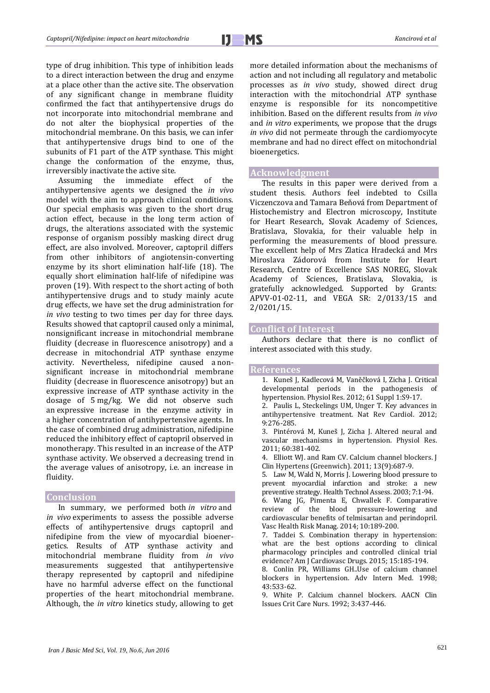type of drug inhibition. This type of inhibition leads to a direct interaction between the drug and enzyme at a place other than the active site. The observation of any significant change in membrane fluidity confirmed the fact that antihypertensive drugs do not incorporate into mitochondrial membrane and do not alter the biophysical properties of the mitochondrial membrane. On this basis, we can infer that antihypertensive drugs bind to one of the subunits of F1 part of the ATP synthase. This might change the conformation of the enzyme, thus, irreversibly inactivate the active site.

Assuming the immediate effect of the antihypertensive agents we designed the *in vivo* model with the aim to approach clinical conditions. Our special emphasis was given to the short drug action effect, because in the long term action of drugs, the alterations associated with the systemic response of organism possibly masking direct drug effect, are also involved. Moreover, captopril differs from other inhibitors of angiotensin-converting enzyme by its short elimination half-life (18). The equally short elimination half-life of nifedipine was proven (19). With respect to the short acting of both antihypertensive drugs and to study mainly acute drug effects, we have set the drug administration for *in vivo* testing to two times per day for three days. Results showed that captopril caused only a minimal, nonsignificant increase in mitochondrial membrane fluidity (decrease in fluorescence anisotropy) and a decrease in mitochondrial ATP synthase enzyme activity. Nevertheless, nifedipine caused a nonsignificant increase in mitochondrial membrane fluidity (decrease in fluorescence anisotropy) but an expressive increase of ATP synthase activity in the dosage of 5 mg/kg. We did not observe such an expressive increase in the enzyme activity in a higher concentration of antihypertensive agents. In the case of combined drug administration, nifedipine reduced the inhibitory effect of captopril observed in monotherapy. This resulted in an increase of the ATP synthase activity. We observed a decreasing trend in the average values of anisotropy, i.e. an increase in fluidity.

## **Conclusion**

In summary, we performed both *in vitro* and *in vivo* experiments to assess the possible adverse effects of antihypertensive drugs captopril and nifedipine from the view of myocardial bioenergetics. Results of ATP synthase activity and mitochondrial membrane fluidity from *in vivo* measurements suggested that antihypertensive therapy represented by captopril and nifedipine have no harmful adverse effect on the functional properties of the heart mitochondrial membrane. Although, the *in vitro* kinetics study, allowing to get more detailed information about the mechanisms of action and not including all regulatory and metabolic processes as *in vivo* study, showed direct drug interaction with the mitochondrial ATP synthase enzyme is responsible for its noncompetitive inhibition. Based on the different results from *in vivo* and *in vitro* experiments, we propose that the drugs *in vivo* did not permeate through the cardiomyocyte membrane and had no direct effect on mitochondrial bioenergetics.

#### **Acknowledgment**

The results in this paper were derived from a student thesis. Authors feel indebted to Csilla Viczenczova and Tamara Beňová from Department of Histochemistry and Electron microscopy, Institute for Heart Research, Slovak Academy of Sciences, Bratislava, Slovakia, for their valuable help in performing the measurements of blood pressure. The excellent help of Mrs Zlatica Hradecká and Mrs Miroslava Zádorová from Institute for Heart Research, Centre of Excellence SAS NOREG, Slovak Academy of Sciences, Bratislava, Slovakia, is gratefully acknowledged. Supported by Grants: APVV-01-02-11, and VEGA SR: 2/0133/15 and 2/0201/15.

## **Conflict of Interest**

Authors declare that there is no conflict of interest associated with this study.

#### **References**

- 1. Kuneš J, Kadlecová M, Vaněčková I, Zicha J. Critical developmental periods in the pathogenesis of hypertension. Physiol Res. 2012; 61 Suppl 1:S9-17.
- 2. Paulis L, Steckelings UM, Unger T. Key advances in antihypertensive treatment. Nat Rev Cardiol. 2012; 9:276-285.
- 3. Pintérová M, Kuneš J, Zicha J. Altered neural and vascular mechanisms in hypertension. Physiol Res. 2011; 60:381-402.
- 4. Elliott WJ. and Ram CV. Calcium channel blockers. J Clin Hypertens (Greenwich). 2011; 13(9):687-9.
- 5. Law M, Wald N, Morris J. Lowering blood pressure to prevent myocardial infarction and stroke: a new preventive strategy. Health Technol Assess. 2003; 7:1-94.
- 6. Wang JG, Pimenta E, Chwallek F. Comparative review of the blood pressure-lowering and cardiovascular benefits of telmisartan and perindopril. Vasc Health Risk Manag. 2014; 10:189-200.
- 7. Taddei S. Combination therapy in hypertension: what are the best options according to clinical pharmacology principles and controlled clinical trial evidence? Am J Cardiovasc Drugs. 2015; 15:185-194.
- 8. Conlin PR, Williams GH..Use of calcium channel blockers in hypertension. Adv Intern Med. 1998; 43:533-62.
- 9. White P. Calcium channel blockers. AACN Clin Issues Crit Care Nurs. 1992; 3:437-446.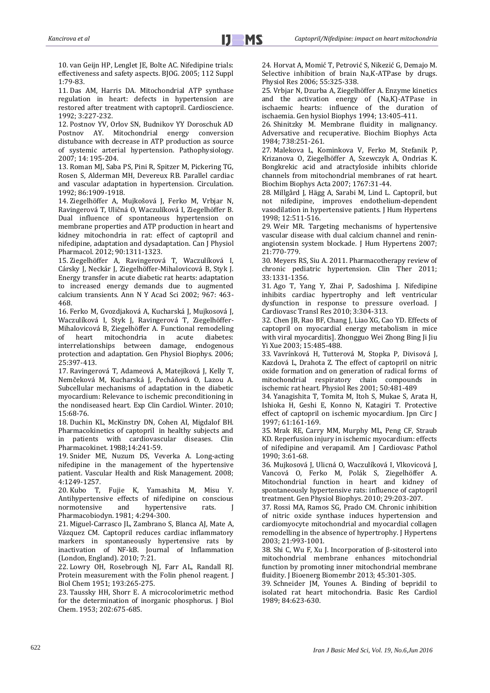10. van Geijn HP, Lenglet JE, Bolte AC. Nifedipine trials: effectiveness and safety aspects. BJOG. 2005; 112 Suppl 1:79-83.

11. Das AM, Harris DA. Mitochondrial ATP synthase regulation in heart: defects in hypertension are restored after treatment with captopril. Cardioscience. 1992; 3:227-232.

12. Postnov YV, Orlov SN, Budnikov YY Doroschuk AD Postnov AY. Mitochondrial energy conversion distubance with decrease in ATP production as source of systemic arterial hypertension. Pathophysiology. 2007; 14: 195-204.

13. Roman MJ, Saba PS, Pini R, Spitzer M, Pickering TG, Rosen S, Alderman MH, Devereux RB. Parallel cardiac and vascular adaptation in hypertension. Circulation. 1992; 86:1909-1918.

14. Ziegelhöffer A, Mujkošová J, Ferko M, Vrbjar N, Ravingerová T, Uličná O, Waczulíková I, Ziegelhöffer B. Dual influence of spontaneous hypertension on membrane properties and ATP production in heart and kidney mitochondria in rat: effect of captopril and nifedipine, adaptation and dysadaptation. Can J Physiol Pharmacol. 2012; 90:1311-1323.

15. Ziegelhöffer A, Ravingerová T, Waczulíková I, Cársky J, Neckár J, Ziegelhöffer-Mihalovicová B, Styk J. Energy transfer in acute diabetic rat hearts: adaptation to increased energy demands due to augmented calcium transients. Ann N Y Acad Sci 2002; 967: 463- 468.

16. Ferko M, Gvozdjaková A, Kucharská J, Mujkosová J, Waczulíková I, Styk J, Ravingerová T, Ziegelhöffer-Mihalovicová B, Ziegelhöffer A. Functional remodeling<br>of heart mitochondria in acute diabetes: of heart mitochondria in acute diabetes: interrelationships between damage, endogenous protection and adaptation. Gen Physiol Biophys. 2006; 25:397-413.

17. Ravingerová T, Adameová A, Matejíková J, Kelly T, Nemčeková M, Kucharská J, Pecháňová O, Lazou A. Subcellular mechanisms of adaptation in the diabetic myocardium: Relevance to ischemic preconditioning in the nondiseased heart. Exp Clin Cardiol. Winter. 2010; 15:68-76.

18. Duchin KL, McKinstry DN, Cohen AI, Migdalof BH. Pharmacokinetics of captopril in healthy subjects and in patients with cardiovascular diseases. Clin Pharmacokinet. 1988;14:241-59.

19. Snider ME, Nuzum DS, Veverka A. Long-acting nifedipine in the management of the hypertensive patient. Vascular Health and Risk Management. 2008; 4:1249-1257.

20. Kubo T, Fujie K, Yamashita M, Misu Y. Antihypertensive effects of nifedipine on conscious normotensive and hypertensive rats. J Pharmacobiodyn. 1981; 4:294-300.

21. Miguel-Carrasco JL, Zambrano S, Blanca AJ, Mate A, Vázquez CM. Captopril reduces cardiac inflammatory markers in spontaneously hypertensive rats by inactivation of NF-kB. Journal of Inflammation (London, England). 2010; 7:21.

22. Lowry OH, Rosebrough NJ, Farr AL, Randall RJ. Protein measurement with the Folin phenol reagent. J Biol Chem 1951; 193:265-275.

23. Taussky HH, Shorr E. A microcolorimetric method for the determination of inorganic phosphorus. J Biol Chem. 1953; 202:675-685.

24. Horvat A, Momić T, Petrović S, Nikezić G, Demajo M. Selective inhibition of brain Na,K-ATPase by drugs. Physiol Res 2006; 55:325-338.

25. Vrbjar N, Dzurba A, Ziegelhöffer A. Enzyme kinetics and the activation energy of (Na,K)-ATPase in ischaemic hearts: influence of the duration of ischaemia. Gen hysiol Biophys 1994; 13:405-411.

26. Shinitzky M. Membrane fluidity in malignancy. Adversative and recuperative. Biochim Biophys Acta 1984; 738:251-261.

27. Malekova L, Kominkova V, Ferko M, Stefanik P, Krizanova O, Ziegelhöffer A, Szewczyk A, Ondrias K. Bongkrekic acid and atractyloside inhibits chloride channels from mitochondrial membranes of rat heart. Biochim Biophys Acta 2007; 1767:31-44.

28. Millgård J, Hägg A, Sarabi M, Lind L. Captopril, but not nifedipine, improves endothelium-dependent vasodilation in hypertensive patients. J Hum Hypertens 1998; 12:511-516.

29. Weir MR. Targeting mechanisms of hypertensive vascular disease with dual calcium channel and reninangiotensin system blockade. J Hum Hypertens 2007; 21:770-779.

30. Meyers RS, Siu A. 2011. Pharmacotherapy review of chronic pediatric hypertension. Clin Ther 2011; 33:1331-1356.

31. Ago T, Yang Y, Zhai P, Sadoshima J. Nifedipine inhibits cardiac hypertrophy and left ventricular dysfunction in response to pressure overload. I Cardiovasc Transl Res 2010; 3:304-313.

32. Chen JB, Rao BF, Chang J, Liao XG, Cao YD. Effects of captopril on myocardial energy metabolism in mice with viral myocarditis]. Zhongguo Wei Zhong Bing Ji Jiu Yi Xue 2003; 15:485-488.

33. Vavrínková H, Tutterová M, Stopka P, Divisová J, Kazdová L, Drahota Z. The effect of captopril on nitric oxide formation and on generation of radical forms of mitochondrial respiratory chain compounds in ischemic rat heart. Physiol Res 2001; 50:481-489

34. Yanagishita T, Tomita M, Itoh S, Mukae S, Arata H, Ishioka H, Geshi E, Konno N, Katagiri T. Protective effect of captopril on ischemic myocardium. Jpn Circ J 1997; 61:161-169.

35. Mrak RE, Carry MM, Murphy ML, Peng CF, Straub KD. Reperfusion injury in ischemic myocardium: effects of nifedipine and verapamil. Am J Cardiovasc Pathol 1990; 3:61-68.

36. Mujkosová J, Ulicná O, Waczulíková I, Vlkovicová J, Vancová O, Ferko M, Polák S, Ziegelhöffer A. Mitochondrial function in heart and kidney of spontaneously hypertensive rats: influence of captopril treatment. Gen Physiol Biophys. 2010; 29:203-207.

37. Rossi MA, Ramos SG, Prado CM. Chronic inhibition of nitric oxide synthase induces hypertension and cardiomyocyte mitochondrial and myocardial collagen remodelling in the absence of hypertrophy. J Hypertens 2003; 21:993-1001.

38. Shi C, Wu F, Xu J. Incorporation of β-sitosterol into mitochondrial membrane enhances mitochondrial function by promoting inner mitochondrial membrane fluidity. J Bioenerg Biomembr 2013; 45:301-305.

39. Schneider JM, Younes A. Binding of bepridil to isolated rat heart mitochondria. Basic Res Cardiol 1989; 84:623-630.